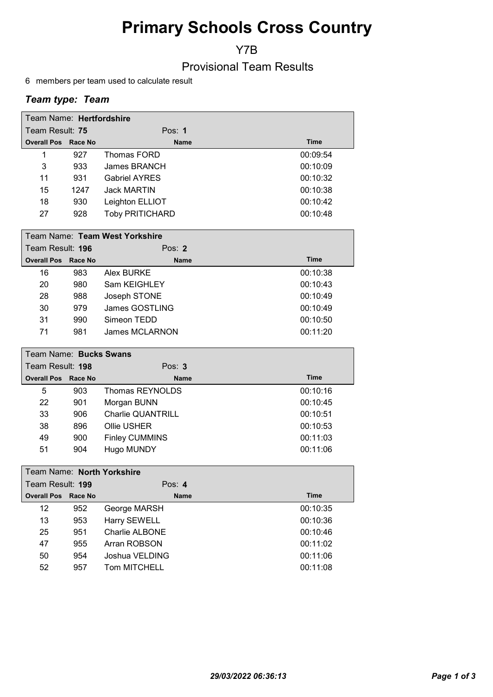# Primary Schools Cross Country

Y7B

Provisional Team Results

6 members per team used to calculate result

## Team type: Team

| Team Name: Hertfordshire   |      |                        |             |  |  |
|----------------------------|------|------------------------|-------------|--|--|
| Team Result: 75            |      | Pos: $1$               |             |  |  |
| <b>Overall Pos Race No</b> |      | <b>Name</b>            | <b>Time</b> |  |  |
| 1                          | 927  | Thomas FORD            | 00:09:54    |  |  |
| 3                          | 933  | James BRANCH           | 00:10:09    |  |  |
| 11                         | 931  | <b>Gabriel AYRES</b>   | 00:10:32    |  |  |
| 15                         | 1247 | <b>Jack MARTIN</b>     | 00:10:38    |  |  |
| 18                         | 930  | Leighton ELLIOT        | 00:10:42    |  |  |
| 27                         | 928  | <b>Toby PRITICHARD</b> | 00:10:48    |  |  |

|                            | Team Name: Team West Yorkshire |                |             |  |  |
|----------------------------|--------------------------------|----------------|-------------|--|--|
| Team Result: 196           |                                | Pos: $2$       |             |  |  |
| <b>Overall Pos Race No</b> |                                | <b>Name</b>    | <b>Time</b> |  |  |
| 16                         | 983                            | Alex BURKE     | 00:10:38    |  |  |
| 20                         | 980                            | Sam KEIGHLEY   | 00:10:43    |  |  |
| 28                         | 988                            | Joseph STONE   | 00:10:49    |  |  |
| 30                         | 979                            | James GOSTLING | 00:10:49    |  |  |
| 31                         | 990                            | Simeon TEDD    | 00:10:50    |  |  |
| 71                         | 981                            | James MCLARNON | 00:11:20    |  |  |

|                            | Team Name: Bucks Swans |                          |             |  |  |
|----------------------------|------------------------|--------------------------|-------------|--|--|
| Team Result: 198           |                        | Pos: $3$                 |             |  |  |
| <b>Overall Pos Race No</b> |                        | <b>Name</b>              | <b>Time</b> |  |  |
| 5                          | 903                    | Thomas REYNOLDS          | 00:10:16    |  |  |
| 22                         | 901                    | Morgan BUNN              | 00:10:45    |  |  |
| 33                         | 906                    | <b>Charlie QUANTRILL</b> | 00:10:51    |  |  |
| 38                         | 896                    | Ollie USHER              | 00:10:53    |  |  |
| 49                         | 900                    | <b>Finley CUMMINS</b>    | 00:11:03    |  |  |
| 51                         | 904                    | Hugo MUNDY               | 00:11:06    |  |  |

|                  | Team Name: North Yorkshire |         |                |             |  |
|------------------|----------------------------|---------|----------------|-------------|--|
| Team Result: 199 |                            |         | Pos: $4$       |             |  |
|                  | <b>Overall Pos</b>         | Race No | <b>Name</b>    | <b>Time</b> |  |
|                  | 12                         | 952     | George MARSH   | 00:10:35    |  |
|                  | 13                         | 953     | Harry SEWELL   | 00:10:36    |  |
|                  | 25                         | 951     | Charlie ALBONE | 00:10:46    |  |
|                  | 47                         | 955     | Arran ROBSON   | 00:11:02    |  |
|                  | 50                         | 954     | Joshua VELDING | 00:11:06    |  |
|                  | 52                         | 957     | Tom MITCHELL   | 00:11:08    |  |
|                  |                            |         |                |             |  |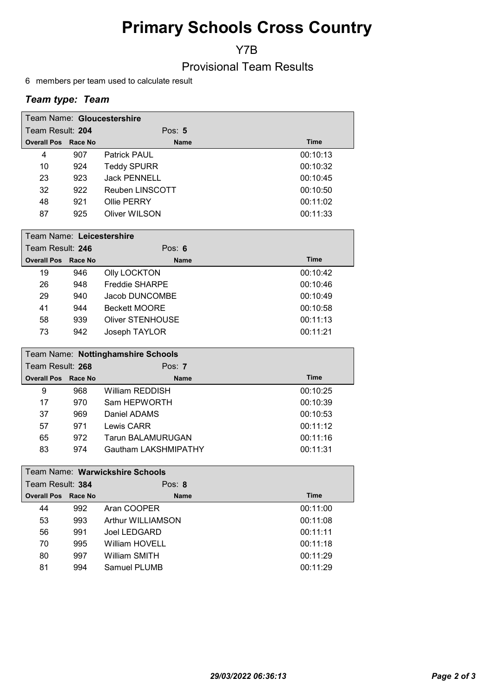# Primary Schools Cross Country

Y7B

Provisional Team Results

6 members per team used to calculate result

## Team type: Team

|                            | Team Name: Gloucestershire |                     |             |  |  |  |
|----------------------------|----------------------------|---------------------|-------------|--|--|--|
| Team Result: 204           |                            | Pos: $5$            |             |  |  |  |
| <b>Overall Pos Race No</b> |                            | <b>Name</b>         | <b>Time</b> |  |  |  |
| 4                          | 907                        | <b>Patrick PAUL</b> | 00:10:13    |  |  |  |
| 10                         | 924                        | <b>Teddy SPURR</b>  | 00:10:32    |  |  |  |
| 23                         | 923                        | <b>Jack PENNELL</b> | 00:10:45    |  |  |  |
| 32                         | 922                        | Reuben LINSCOTT     | 00:10:50    |  |  |  |
| 48                         | 921                        | Ollie PERRY         | 00:11:02    |  |  |  |
| 87                         | 925                        | Oliver WILSON       | 00:11:33    |  |  |  |

|                            | Team Name: Leicestershire |                         |             |  |  |
|----------------------------|---------------------------|-------------------------|-------------|--|--|
| Team Result: 246           |                           | Pos: $6$                |             |  |  |
| <b>Overall Pos Race No</b> |                           | <b>Name</b>             | <b>Time</b> |  |  |
| 19                         | 946                       | <b>Olly LOCKTON</b>     | 00:10:42    |  |  |
| 26                         | 948                       | Freddie SHARPE          | 00:10:46    |  |  |
| 29                         | 940                       | Jacob DUNCOMBE          | 00:10:49    |  |  |
| 41                         | 944                       | <b>Beckett MOORE</b>    | 00:10:58    |  |  |
| 58                         | 939                       | <b>Oliver STENHOUSE</b> | 00:11:13    |  |  |
| 73                         | 942                       | Joseph TAYLOR           | 00:11:21    |  |  |

|                            | Team Name: Nottinghamshire Schools |                          |             |  |  |
|----------------------------|------------------------------------|--------------------------|-------------|--|--|
| Team Result: 268           |                                    | Pos: $7$                 |             |  |  |
| <b>Overall Pos Race No</b> |                                    | <b>Name</b>              | <b>Time</b> |  |  |
| 9                          | 968                                | William REDDISH          | 00:10:25    |  |  |
| 17                         | 970                                | Sam HEPWORTH             | 00:10:39    |  |  |
| 37                         | 969                                | Daniel ADAMS             | 00:10:53    |  |  |
| 57                         | 971                                | Lewis CARR               | 00:11:12    |  |  |
| 65                         | 972                                | <b>Tarun BALAMURUGAN</b> | 00:11:16    |  |  |
| 83                         | 974                                | Gautham LAKSHMIPATHY     | 00:11:31    |  |  |

| Team Name: Warwickshire Schools |         |                       |             |
|---------------------------------|---------|-----------------------|-------------|
| Team Result: 384                |         | Pos: $8$              |             |
| <b>Overall Pos</b>              | Race No | <b>Name</b>           | <b>Time</b> |
| 44                              | 992     | Aran COOPER           | 00:11:00    |
| 53                              | 993     | Arthur WILLIAMSON     | 00:11:08    |
| 56                              | 991     | Joel LEDGARD          | 00:11:11    |
| 70                              | 995     | <b>William HOVELL</b> | 00:11:18    |
| 80                              | 997     | William SMITH         | 00:11:29    |
| 81                              | 994     | Samuel PLUMB          | 00:11:29    |